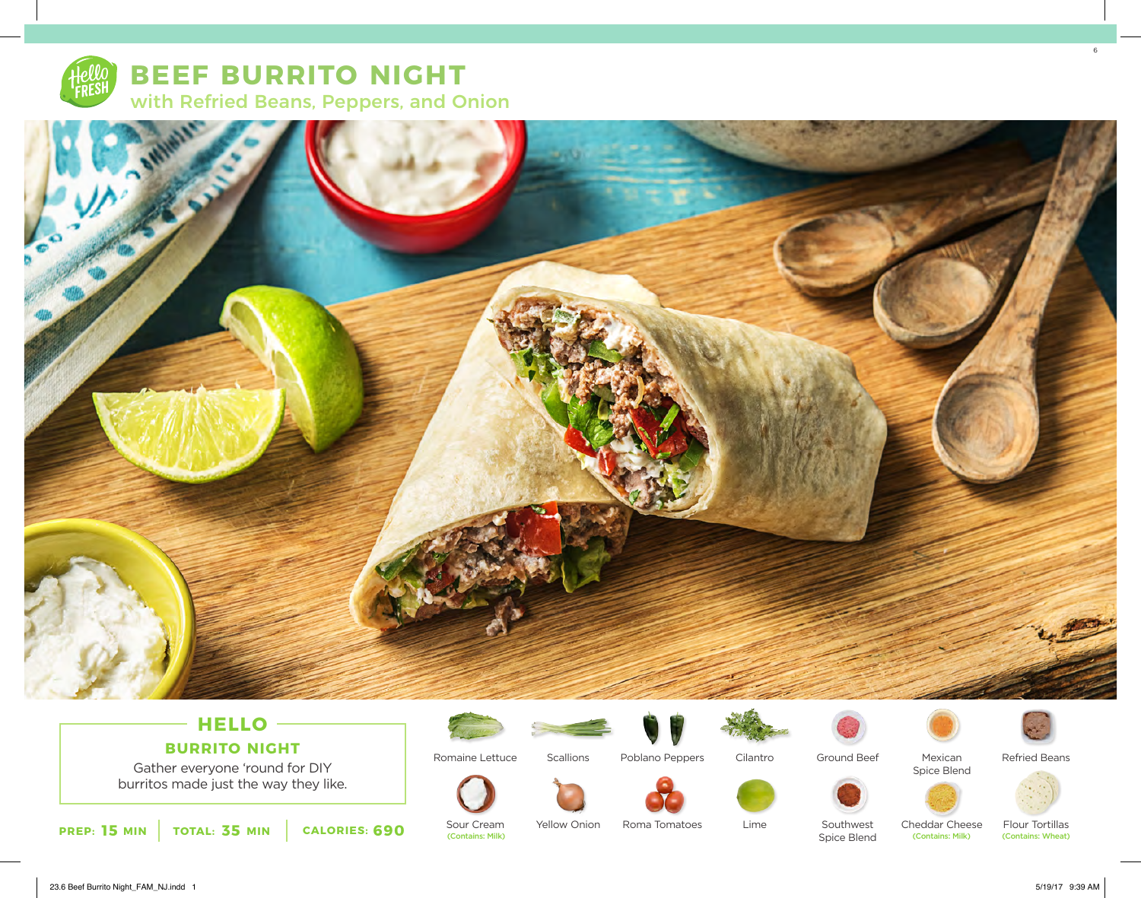

**BEEF BURRITO NIGHT** with Refried Beans, Peppers, and Onion



### **HELLO BURRITO NIGHT**

Gather everyone 'round for DIY burritos made just the way they like.



Sour Cream<br>(Contains: Milk)

Romaine Lettuce

**Scallions** 

Yellow Onion



Poblano Peppers







Mexican



Spice Blend



Lime Roma Tomatoes

Southwest

Spice Blend (Contains: Milk) (Contains: Milk) (Contains: Wheat) Cheddar Cheese<br>
Contains: Milk)

Flour Tortillas<br>(Contains: Wheat)

23.6 Beef Burrito Night\_FAM\_NJ.indd 1 5/19/17 9:39 AM

6